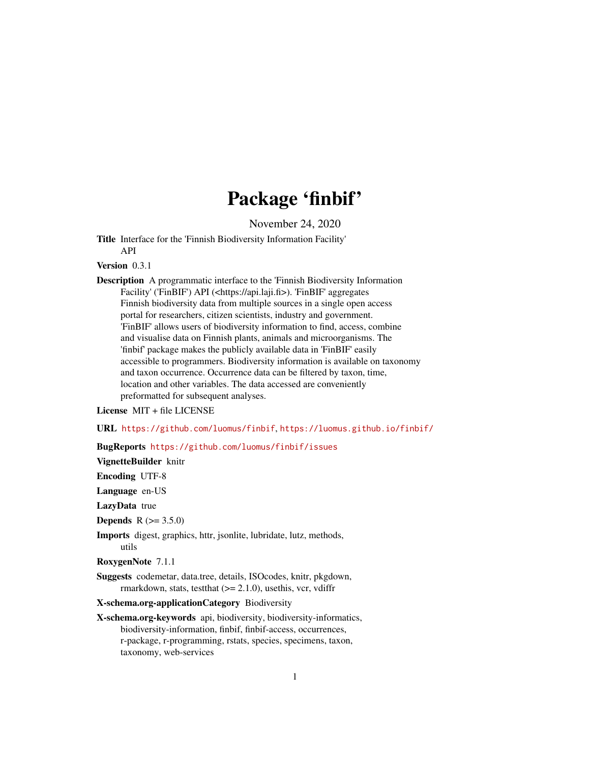# Package 'finbif'

November 24, 2020

<span id="page-0-0"></span>Title Interface for the 'Finnish Biodiversity Information Facility' API

Version 0.3.1

Description A programmatic interface to the 'Finnish Biodiversity Information Facility' ('FinBIF') API (<https://api.laji.fi>). 'FinBIF' aggregates Finnish biodiversity data from multiple sources in a single open access portal for researchers, citizen scientists, industry and government. 'FinBIF' allows users of biodiversity information to find, access, combine and visualise data on Finnish plants, animals and microorganisms. The 'finbif' package makes the publicly available data in 'FinBIF' easily accessible to programmers. Biodiversity information is available on taxonomy and taxon occurrence. Occurrence data can be filtered by taxon, time, location and other variables. The data accessed are conveniently preformatted for subsequent analyses.

License MIT + file LICENSE

URL <https://github.com/luomus/finbif>, <https://luomus.github.io/finbif/>

BugReports <https://github.com/luomus/finbif/issues>

VignetteBuilder knitr

Encoding UTF-8

Language en-US

LazyData true

**Depends**  $R (= 3.5.0)$ 

Imports digest, graphics, httr, jsonlite, lubridate, lutz, methods, utils

RoxygenNote 7.1.1

Suggests codemetar, data.tree, details, ISOcodes, knitr, pkgdown, rmarkdown, stats, test that  $(>= 2.1.0)$ , use this, vcr, vdiffr

X-schema.org-applicationCategory Biodiversity

X-schema.org-keywords api, biodiversity, biodiversity-informatics, biodiversity-information, finbif, finbif-access, occurrences, r-package, r-programming, rstats, species, specimens, taxon, taxonomy, web-services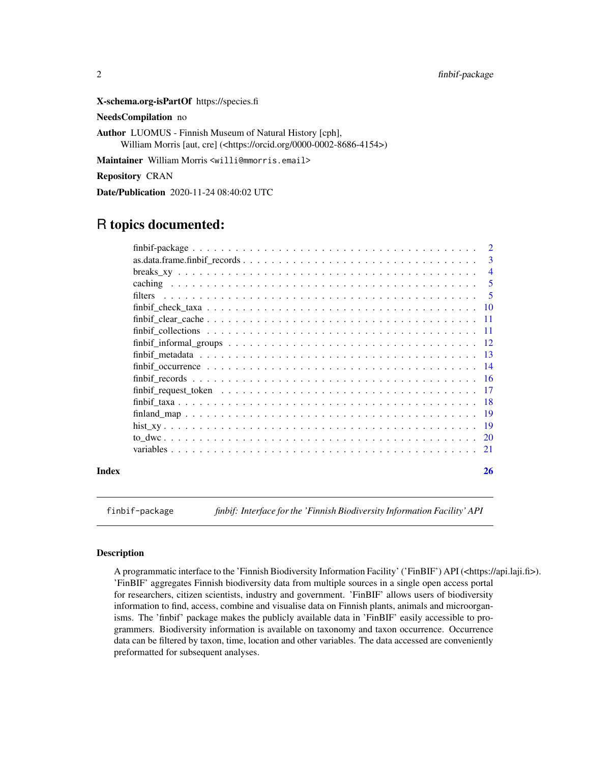<span id="page-1-0"></span>X-schema.org-isPartOf https://species.fi

NeedsCompilation no

Author LUOMUS - Finnish Museum of Natural History [cph], William Morris [aut, cre] (<https://orcid.org/0000-0002-8686-4154>)

Maintainer William Morris <willi@mmorris.email>

Repository CRAN

Date/Publication 2020-11-24 08:40:02 UTC

# R topics documented:

|       |         | 2              |
|-------|---------|----------------|
|       |         | $\mathbf{3}$   |
|       |         | $\overline{4}$ |
|       |         | -5             |
|       | filters | -5             |
|       |         |                |
|       |         |                |
|       |         | -11            |
|       |         |                |
|       |         |                |
|       |         |                |
|       |         |                |
|       |         |                |
|       |         |                |
|       |         |                |
|       |         | -19            |
|       |         |                |
|       |         | 21             |
| Index |         | 26             |

finbif-package *finbif: Interface for the 'Finnish Biodiversity Information Facility' API*

#### Description

A programmatic interface to the 'Finnish Biodiversity Information Facility' ('FinBIF') API (<https://api.laji.fi>). 'FinBIF' aggregates Finnish biodiversity data from multiple sources in a single open access portal for researchers, citizen scientists, industry and government. 'FinBIF' allows users of biodiversity information to find, access, combine and visualise data on Finnish plants, animals and microorganisms. The 'finbif' package makes the publicly available data in 'FinBIF' easily accessible to programmers. Biodiversity information is available on taxonomy and taxon occurrence. Occurrence data can be filtered by taxon, time, location and other variables. The data accessed are conveniently preformatted for subsequent analyses.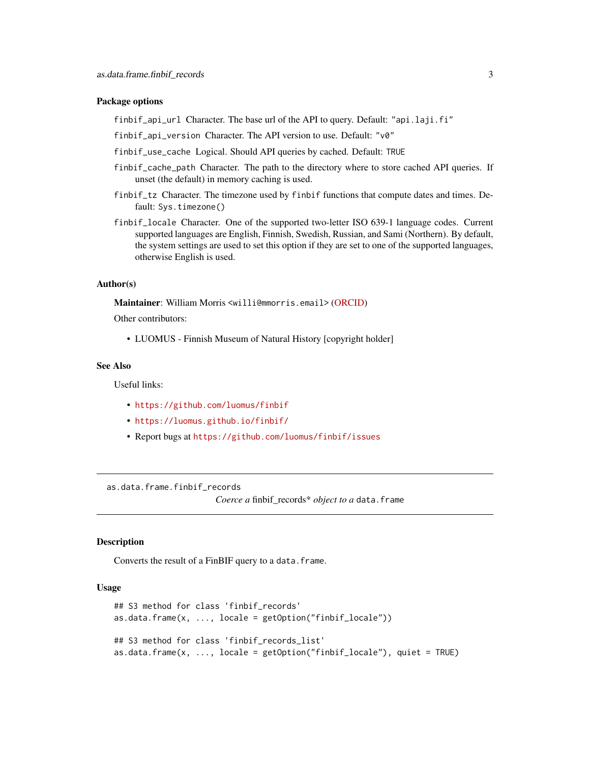#### <span id="page-2-0"></span>Package options

finbif\_api\_url Character. The base url of the API to query. Default: "api.laji.fi"

finbif\_api\_version Character. The API version to use. Default: "v0"

- finbif\_use\_cache Logical. Should API queries by cached. Default: TRUE
- finbif\_cache\_path Character. The path to the directory where to store cached API queries. If unset (the default) in memory caching is used.
- finbif\_tz Character. The timezone used by finbif functions that compute dates and times. Default: Sys.timezone()
- finbif\_locale Character. One of the supported two-letter ISO 639-1 language codes. Current supported languages are English, Finnish, Swedish, Russian, and Sami (Northern). By default, the system settings are used to set this option if they are set to one of the supported languages, otherwise English is used.

#### Author(s)

Maintainer: William Morris <willi@mmorris.email> [\(ORCID\)](https://orcid.org/0000-0002-8686-4154)

Other contributors:

• LUOMUS - Finnish Museum of Natural History [copyright holder]

#### See Also

Useful links:

- <https://github.com/luomus/finbif>
- <https://luomus.github.io/finbif/>
- Report bugs at <https://github.com/luomus/finbif/issues>

as.data.frame.finbif\_records

*Coerce a* finbif\_records\* *object to a* data.frame

#### Description

Converts the result of a FinBIF query to a data.frame.

#### Usage

```
## S3 method for class 'finbif_records'
as.data.frame(x, ..., locale = getOption("finbif_locale"))
## S3 method for class 'finbif_records_list'
as.data.frame(x, ..., locale = getOption("finbif_locale"), quiet = TRUE)
```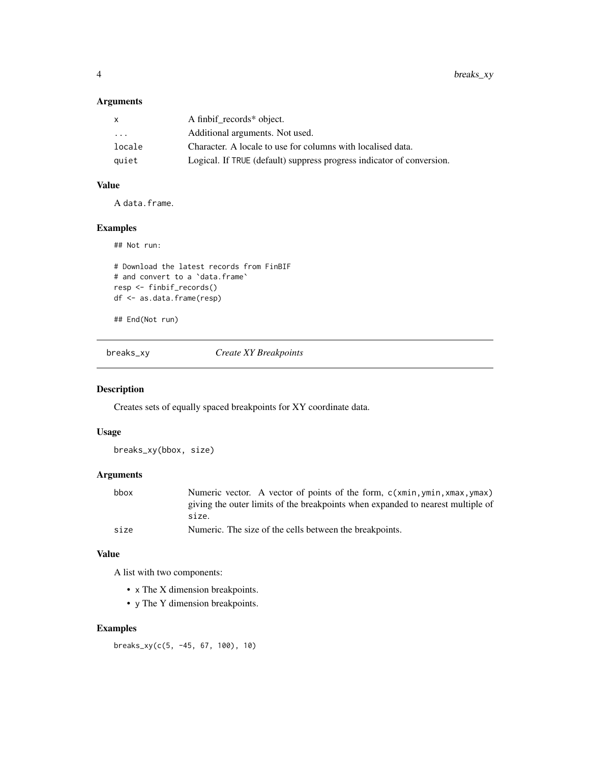# <span id="page-3-0"></span>Arguments

| X       | A finbif_records* object.                                             |
|---------|-----------------------------------------------------------------------|
| $\cdot$ | Additional arguments. Not used.                                       |
| locale  | Character. A locale to use for columns with localised data.           |
| quiet   | Logical. If TRUE (default) suppress progress indicator of conversion. |

# Value

A data.frame.

# Examples

## Not run:

```
# Download the latest records from FinBIF
# and convert to a `data.frame`
resp <- finbif_records()
df <- as.data.frame(resp)
```
## End(Not run)

breaks\_xy *Create XY Breakpoints*

# Description

Creates sets of equally spaced breakpoints for XY coordinate data.

# Usage

breaks\_xy(bbox, size)

# Arguments

| bbox | Numeric vector. A vector of points of the form, c(xmin, ymin, xmax, ymax)       |
|------|---------------------------------------------------------------------------------|
|      | giving the outer limits of the breakpoints when expanded to nearest multiple of |
|      | size.                                                                           |
| size | Numeric. The size of the cells between the breakpoints.                         |

#### Value

A list with two components:

- x The X dimension breakpoints.
- y The Y dimension breakpoints.

# Examples

breaks\_xy(c(5, -45, 67, 100), 10)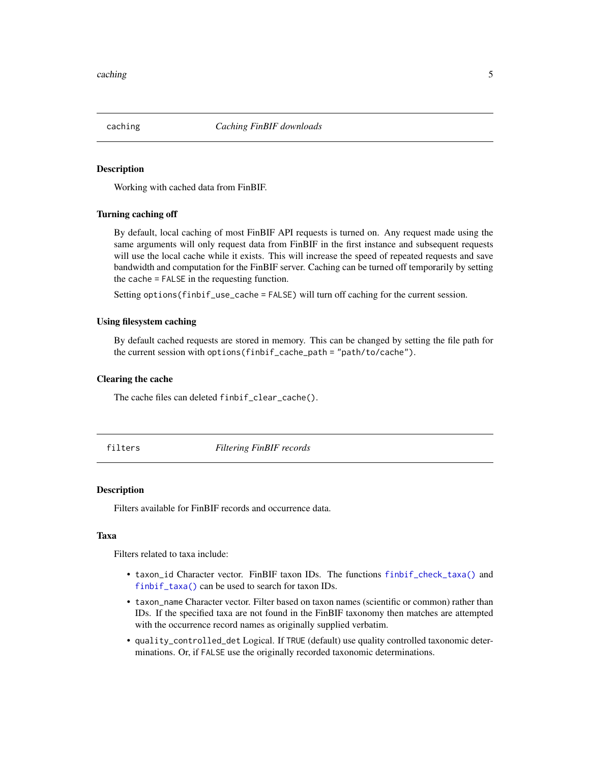<span id="page-4-0"></span>

Working with cached data from FinBIF.

#### Turning caching off

By default, local caching of most FinBIF API requests is turned on. Any request made using the same arguments will only request data from FinBIF in the first instance and subsequent requests will use the local cache while it exists. This will increase the speed of repeated requests and save bandwidth and computation for the FinBIF server. Caching can be turned off temporarily by setting the cache = FALSE in the requesting function.

Setting options(finbif\_use\_cache = FALSE) will turn off caching for the current session.

#### Using filesystem caching

By default cached requests are stored in memory. This can be changed by setting the file path for the current session with options(finbif\_cache\_path = "path/to/cache").

#### Clearing the cache

The cache files can deleted finbif\_clear\_cache().

filters *Filtering FinBIF records*

#### Description

Filters available for FinBIF records and occurrence data.

#### Taxa

Filters related to taxa include:

- taxon\_id Character vector. FinBIF taxon IDs. The functions [finbif\\_check\\_taxa\(\)](#page-9-1) and [finbif\\_taxa\(\)](#page-17-1) can be used to search for taxon IDs.
- taxon\_name Character vector. Filter based on taxon names (scientific or common) rather than IDs. If the specified taxa are not found in the FinBIF taxonomy then matches are attempted with the occurrence record names as originally supplied verbatim.
- quality\_controlled\_det Logical. If TRUE (default) use quality controlled taxonomic determinations. Or, if FALSE use the originally recorded taxonomic determinations.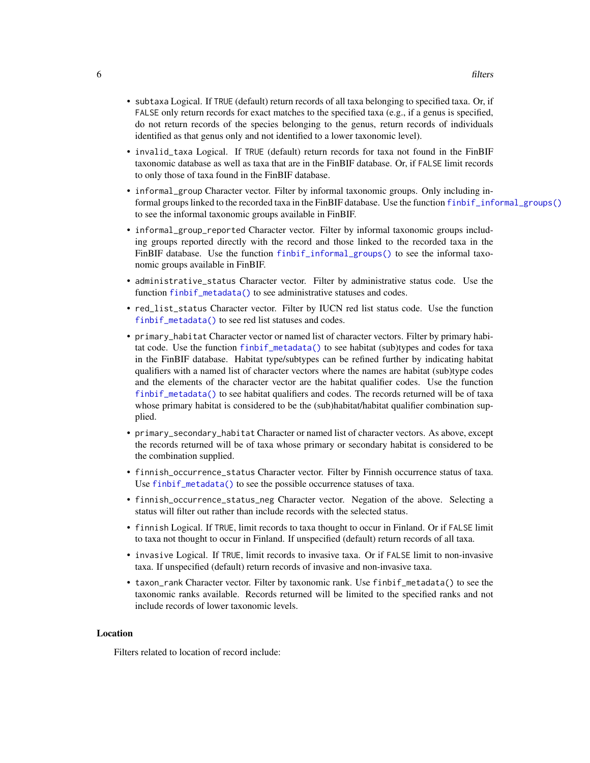- <span id="page-5-0"></span>• subtaxa Logical. If TRUE (default) return records of all taxa belonging to specified taxa. Or, if FALSE only return records for exact matches to the specified taxa (e.g., if a genus is specified, do not return records of the species belonging to the genus, return records of individuals identified as that genus only and not identified to a lower taxonomic level).
- invalid\_taxa Logical. If TRUE (default) return records for taxa not found in the FinBIF taxonomic database as well as taxa that are in the FinBIF database. Or, if FALSE limit records to only those of taxa found in the FinBIF database.
- informal\_group Character vector. Filter by informal taxonomic groups. Only including informal groups linked to the recorded taxa in the FinBIF database. Use the function [finbif\\_informal\\_groups\(\)](#page-11-1) to see the informal taxonomic groups available in FinBIF.
- informal\_group\_reported Character vector. Filter by informal taxonomic groups including groups reported directly with the record and those linked to the recorded taxa in the FinBIF database. Use the function [finbif\\_informal\\_groups\(\)](#page-11-1) to see the informal taxonomic groups available in FinBIF.
- administrative\_status Character vector. Filter by administrative status code. Use the function [finbif\\_metadata\(\)](#page-12-1) to see administrative statuses and codes.
- red\_list\_status Character vector. Filter by IUCN red list status code. Use the function [finbif\\_metadata\(\)](#page-12-1) to see red list statuses and codes.
- primary\_habitat Character vector or named list of character vectors. Filter by primary habitat code. Use the function [finbif\\_metadata\(\)](#page-12-1) to see habitat (sub)types and codes for taxa in the FinBIF database. Habitat type/subtypes can be refined further by indicating habitat qualifiers with a named list of character vectors where the names are habitat (sub)type codes and the elements of the character vector are the habitat qualifier codes. Use the function [finbif\\_metadata\(\)](#page-12-1) to see habitat qualifiers and codes. The records returned will be of taxa whose primary habitat is considered to be the (sub)habitat/habitat qualifier combination supplied.
- primary\_secondary\_habitat Character or named list of character vectors. As above, except the records returned will be of taxa whose primary or secondary habitat is considered to be the combination supplied.
- finnish\_occurrence\_status Character vector. Filter by Finnish occurrence status of taxa. Use [finbif\\_metadata\(\)](#page-12-1) to see the possible occurrence statuses of taxa.
- finnish\_occurrence\_status\_neg Character vector. Negation of the above. Selecting a status will filter out rather than include records with the selected status.
- finnish Logical. If TRUE, limit records to taxa thought to occur in Finland. Or if FALSE limit to taxa not thought to occur in Finland. If unspecified (default) return records of all taxa.
- invasive Logical. If TRUE, limit records to invasive taxa. Or if FALSE limit to non-invasive taxa. If unspecified (default) return records of invasive and non-invasive taxa.
- taxon\_rank Character vector. Filter by taxonomic rank. Use finbif\_metadata() to see the taxonomic ranks available. Records returned will be limited to the specified ranks and not include records of lower taxonomic levels.

#### Location

Filters related to location of record include: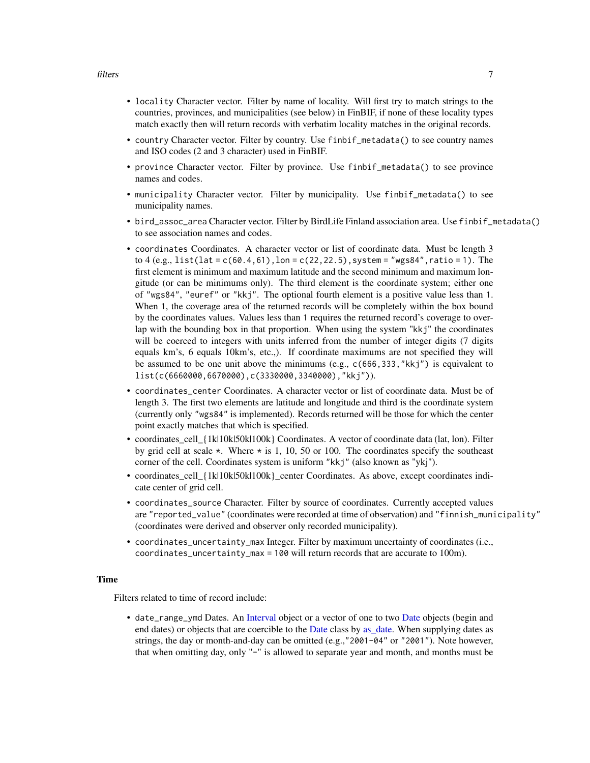- <span id="page-6-0"></span>• locality Character vector. Filter by name of locality. Will first try to match strings to the countries, provinces, and municipalities (see below) in FinBIF, if none of these locality types match exactly then will return records with verbatim locality matches in the original records.
- country Character vector. Filter by country. Use finbif\_metadata() to see country names and ISO codes (2 and 3 character) used in FinBIF.
- province Character vector. Filter by province. Use finbif\_metadata() to see province names and codes.
- municipality Character vector. Filter by municipality. Use finbif\_metadata() to see municipality names.
- bird\_assoc\_area Character vector. Filter by BirdLife Finland association area. Use finbif\_metadata() to see association names and codes.
- coordinates Coordinates. A character vector or list of coordinate data. Must be length 3 to  $4$  (e.g., list(lat = c(60.4,61), lon = c(22,22.5), system = "wgs84", ratio = 1). The first element is minimum and maximum latitude and the second minimum and maximum longitude (or can be minimums only). The third element is the coordinate system; either one of "wgs84", "euref" or "kkj". The optional fourth element is a positive value less than 1. When 1, the coverage area of the returned records will be completely within the box bound by the coordinates values. Values less than 1 requires the returned record's coverage to overlap with the bounding box in that proportion. When using the system "kkj" the coordinates will be coerced to integers with units inferred from the number of integer digits (7 digits equals km's, 6 equals 10km's, etc.,). If coordinate maximums are not specified they will be assumed to be one unit above the minimums (e.g., c(666,333,"kkj") is equivalent to list(c(6660000,6670000),c(3330000,3340000),"kkj")).
- coordinates\_center Coordinates. A character vector or list of coordinate data. Must be of length 3. The first two elements are latitude and longitude and third is the coordinate system (currently only "wgs84" is implemented). Records returned will be those for which the center point exactly matches that which is specified.
- coordinates\_cell\_{1k|10k|50k|100k} Coordinates. A vector of coordinate data (lat, lon). Filter by grid cell at scale  $\star$ . Where  $\star$  is 1, 10, 50 or 100. The coordinates specify the southeast corner of the cell. Coordinates system is uniform "kkj" (also known as "ykj").
- coordinates\_cell\_{1k|10k|50k|100k}\_center Coordinates. As above, except coordinates indicate center of grid cell.
- coordinates\_source Character. Filter by source of coordinates. Currently accepted values are "reported\_value" (coordinates were recorded at time of observation) and "finnish\_municipality" (coordinates were derived and observer only recorded municipality).
- coordinates\_uncertainty\_max Integer. Filter by maximum uncertainty of coordinates (i.e., coordinates\_uncertainty\_max = 100 will return records that are accurate to 100m).

#### Time

Filters related to time of record include:

• date\_range\_ymd Dates. An [Interval](#page-0-0) object or a vector of one to two [Date](#page-0-0) objects (begin and end dates) or objects that are coercible to the [Date](#page-0-0) class by [as\\_date.](#page-0-0) When supplying dates as strings, the day or month-and-day can be omitted (e.g.,"2001-04" or "2001"). Note however, that when omitting day, only "-" is allowed to separate year and month, and months must be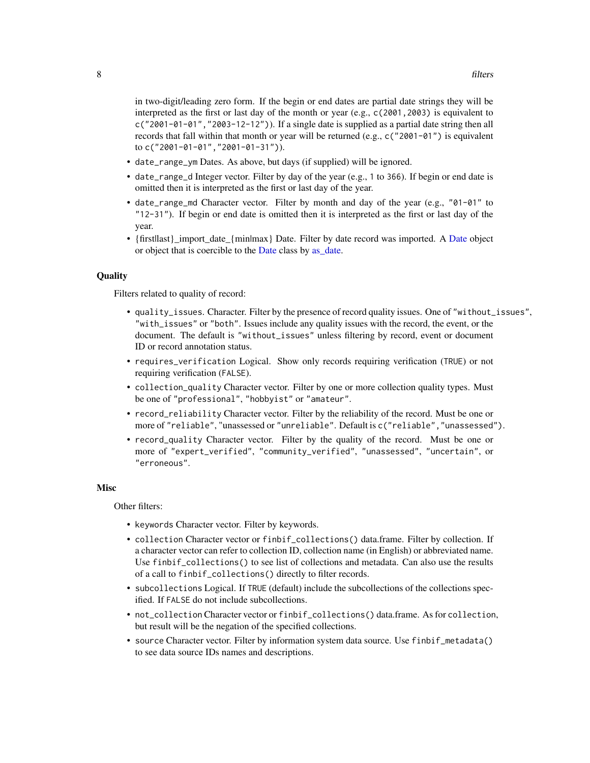<span id="page-7-0"></span>in two-digit/leading zero form. If the begin or end dates are partial date strings they will be interpreted as the first or last day of the month or year (e.g., c(2001,2003) is equivalent to  $c("2001-01-01", "2003-12-12")$ ). If a single date is supplied as a partial date string then all records that fall within that month or year will be returned (e.g.,  $c("2001-01")$  is equivalent to c("2001-01-01","2001-01-31")).

- date\_range\_ym Dates. As above, but days (if supplied) will be ignored.
- date\_range\_d Integer vector. Filter by day of the year (e.g., 1 to 366). If begin or end date is omitted then it is interpreted as the first or last day of the year.
- date\_range\_md Character vector. Filter by month and day of the year (e.g., "01-01" to "12-31"). If begin or end date is omitted then it is interpreted as the first or last day of the year.
- {firstllast}\_import\_date\_{min|max} [Date](#page-0-0). Filter by date record was imported. A Date object or object that is coercible to the [Date](#page-0-0) class by as date.

#### **Quality**

Filters related to quality of record:

- quality\_issues. Character. Filter by the presence of record quality issues. One of "without\_issues", "with\_issues" or "both". Issues include any quality issues with the record, the event, or the document. The default is "without\_issues" unless filtering by record, event or document ID or record annotation status.
- requires\_verification Logical. Show only records requiring verification (TRUE) or not requiring verification (FALSE).
- collection\_quality Character vector. Filter by one or more collection quality types. Must be one of "professional", "hobbyist" or "amateur".
- record\_reliability Character vector. Filter by the reliability of the record. Must be one or more of "reliable", "unassessed or "unreliable". Default is c("reliable","unassessed").
- record\_quality Character vector. Filter by the quality of the record. Must be one or more of "expert\_verified", "community\_verified", "unassessed", "uncertain", or "erroneous".

#### Misc

Other filters:

- keywords Character vector. Filter by keywords.
- collection Character vector or finbif\_collections() data.frame. Filter by collection. If a character vector can refer to collection ID, collection name (in English) or abbreviated name. Use finbif\_collections() to see list of collections and metadata. Can also use the results of a call to finbif\_collections() directly to filter records.
- subcollections Logical. If TRUE (default) include the subcollections of the collections specified. If FALSE do not include subcollections.
- not\_collection Character vector or finbif\_collections() data.frame. As for collection, but result will be the negation of the specified collections.
- source Character vector. Filter by information system data source. Use finbif\_metadata() to see data source IDs names and descriptions.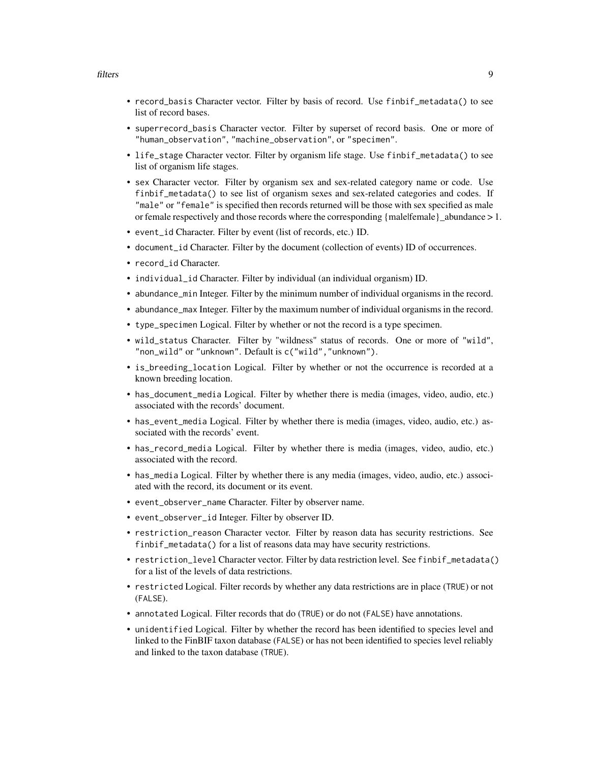- record\_basis Character vector. Filter by basis of record. Use finbif\_metadata() to see list of record bases.
- superrecord\_basis Character vector. Filter by superset of record basis. One or more of "human\_observation", "machine\_observation", or "specimen".
- life\_stage Character vector. Filter by organism life stage. Use finbif\_metadata() to see list of organism life stages.
- sex Character vector. Filter by organism sex and sex-related category name or code. Use finbif\_metadata() to see list of organism sexes and sex-related categories and codes. If "male" or "female" is specified then records returned will be those with sex specified as male or female respectively and those records where the corresponding {male|female}\_abundance > 1.
- event\_id Character. Filter by event (list of records, etc.) ID.
- document\_id Character. Filter by the document (collection of events) ID of occurrences.
- record\_id Character.
- individual\_id Character. Filter by individual (an individual organism) ID.
- abundance\_min Integer. Filter by the minimum number of individual organisms in the record.
- abundance\_max Integer. Filter by the maximum number of individual organisms in the record.
- type\_specimen Logical. Filter by whether or not the record is a type specimen.
- wild\_status Character. Filter by "wildness" status of records. One or more of "wild", "non\_wild" or "unknown". Default is c("wild","unknown").
- is\_breeding\_location Logical. Filter by whether or not the occurrence is recorded at a known breeding location.
- has\_document\_media Logical. Filter by whether there is media (images, video, audio, etc.) associated with the records' document.
- has\_event\_media Logical. Filter by whether there is media (images, video, audio, etc.) associated with the records' event.
- has\_record\_media Logical. Filter by whether there is media (images, video, audio, etc.) associated with the record.
- has\_media Logical. Filter by whether there is any media (images, video, audio, etc.) associated with the record, its document or its event.
- event\_observer\_name Character. Filter by observer name.
- event\_observer\_id Integer. Filter by observer ID.
- restriction\_reason Character vector. Filter by reason data has security restrictions. See finbif\_metadata() for a list of reasons data may have security restrictions.
- restriction\_level Character vector. Filter by data restriction level. See finbif\_metadata() for a list of the levels of data restrictions.
- restricted Logical. Filter records by whether any data restrictions are in place (TRUE) or not (FALSE).
- annotated Logical. Filter records that do (TRUE) or do not (FALSE) have annotations.
- unidentified Logical. Filter by whether the record has been identified to species level and linked to the FinBIF taxon database (FALSE) or has not been identified to species level reliably and linked to the taxon database (TRUE).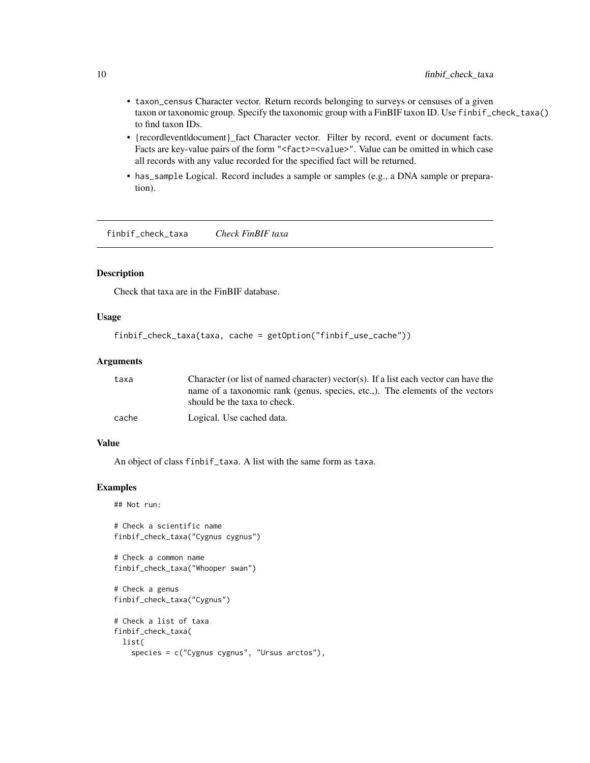- <span id="page-9-0"></span>• taxon\_census Character vector. Return records belonging to surveys or censuses of a given taxon or taxonomic group. Specify the taxonomic group with a FinBIF taxon ID. Use finbif\_check\_taxa() to find taxon IDs.
- {recordleventldocument}\_fact Character vector. Filter by record, event or document facts. Facts are key-value pairs of the form "<fact>=<value>". Value can be omitted in which case all records with any value recorded for the specified fact will be returned.
- has\_sample Logical. Record includes a sample or samples (e.g., a DNA sample or preparation).

<span id="page-9-1"></span>finbif\_check\_taxa *Check FinBIF taxa*

#### Description

Check that taxa are in the FinBIF database.

### Usage

```
finbif_check_taxa(taxa, cache = getOption("finbif_use_cache"))
```
#### Arguments

| taxa  | Character (or list of named character) vector(s). If a list each vector can have the |
|-------|--------------------------------------------------------------------------------------|
|       | name of a taxonomic rank (genus, species, etc.,). The elements of the vectors        |
|       | should be the taxa to check.                                                         |
| cache | Logical. Use cached data.                                                            |

#### Value

An object of class finbif\_taxa. A list with the same form as taxa.

#### Examples

```
## Not run:
```

```
# Check a scientific name
finbif_check_taxa("Cygnus cygnus")
```

```
# Check a common name
finbif_check_taxa("Whooper swan")
```

```
# Check a genus
finbif_check_taxa("Cygnus")
```

```
# Check a list of taxa
finbif_check_taxa(
 list(
    species = c("Cygnus cygnus", "Ursus arctos"),
```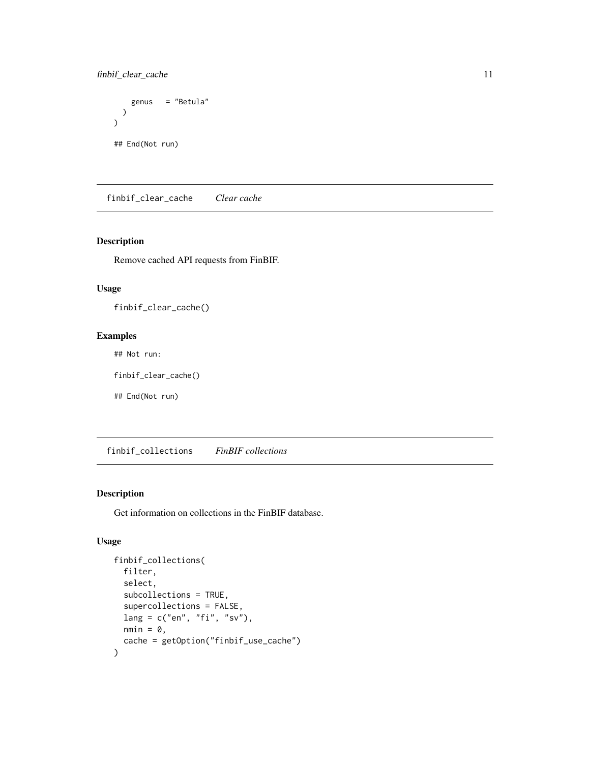<span id="page-10-0"></span>finbif\_clear\_cache 11

```
genus = "Betula"
 )
)
## End(Not run)
```
finbif\_clear\_cache *Clear cache*

#### Description

Remove cached API requests from FinBIF.

### Usage

finbif\_clear\_cache()

### Examples

## Not run:

finbif\_clear\_cache()

## End(Not run)

finbif\_collections *FinBIF collections*

#### Description

Get information on collections in the FinBIF database.

# Usage

```
finbif_collections(
  filter,
  select,
  subcollections = TRUE,
  supercollections = FALSE,
  lang = c("en", "fi", "sv"),
 nmin = 0,
  cache = getOption("finbif_use_cache")
\mathcal{E}
```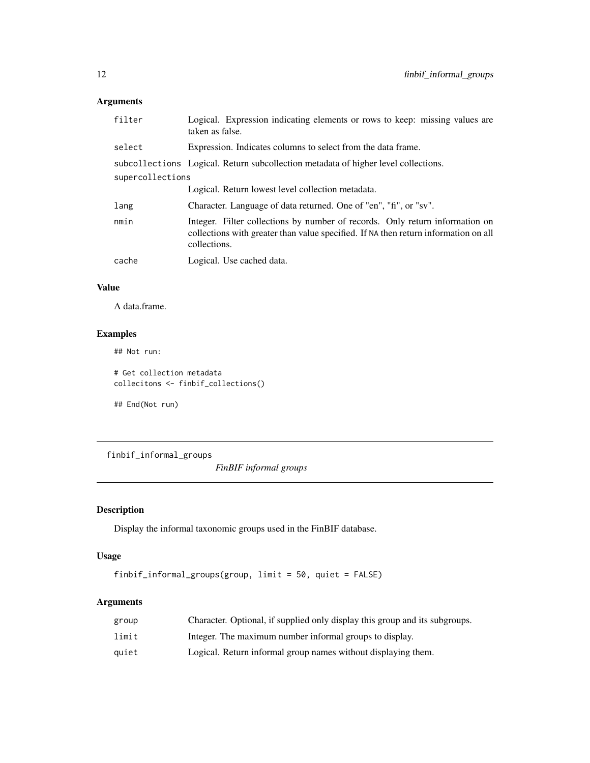# <span id="page-11-0"></span>Arguments

| filter           | Logical. Expression indicating elements or rows to keep: missing values are<br>taken as false.                                                                                      |
|------------------|-------------------------------------------------------------------------------------------------------------------------------------------------------------------------------------|
| select           | Expression. Indicates columns to select from the data frame.                                                                                                                        |
|                  | subcollections Logical. Return subcollection metadata of higher level collections.                                                                                                  |
| supercollections |                                                                                                                                                                                     |
|                  | Logical. Return lowest level collection metadata.                                                                                                                                   |
| lang             | Character. Language of data returned. One of "en", "fi", or "sv".                                                                                                                   |
| nmin             | Integer. Filter collections by number of records. Only return information on<br>collections with greater than value specified. If NA then return information on all<br>collections. |
| cache            | Logical. Use cached data.                                                                                                                                                           |
|                  |                                                                                                                                                                                     |

# Value

A data.frame.

# Examples

## Not run:

# Get collection metadata collecitons <- finbif\_collections()

## End(Not run)

<span id="page-11-1"></span>finbif\_informal\_groups

*FinBIF informal groups*

# Description

Display the informal taxonomic groups used in the FinBIF database.

# Usage

finbif\_informal\_groups(group, limit = 50, quiet = FALSE)

# Arguments

| group | Character. Optional, if supplied only display this group and its subgroups. |
|-------|-----------------------------------------------------------------------------|
| limit | Integer. The maximum number informal groups to display.                     |
| quiet | Logical. Return informal group names without displaying them.               |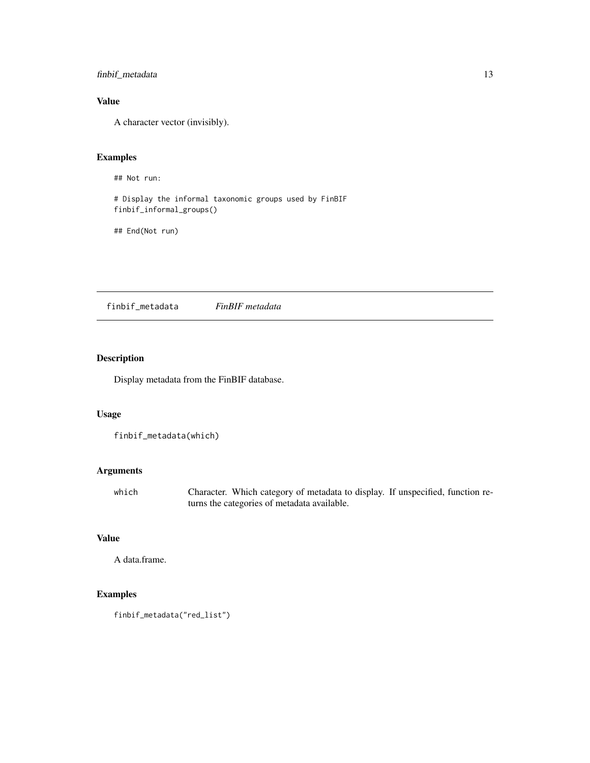<span id="page-12-0"></span>finbif\_metadata 13

# Value

A character vector (invisibly).

# Examples

## Not run:

# Display the informal taxonomic groups used by FinBIF finbif\_informal\_groups()

## End(Not run)

<span id="page-12-1"></span>finbif\_metadata *FinBIF metadata*

# Description

Display metadata from the FinBIF database.

## Usage

```
finbif_metadata(which)
```
# Arguments

which Character. Which category of metadata to display. If unspecified, function returns the categories of metadata available.

# Value

A data.frame.

# Examples

```
finbif_metadata("red_list")
```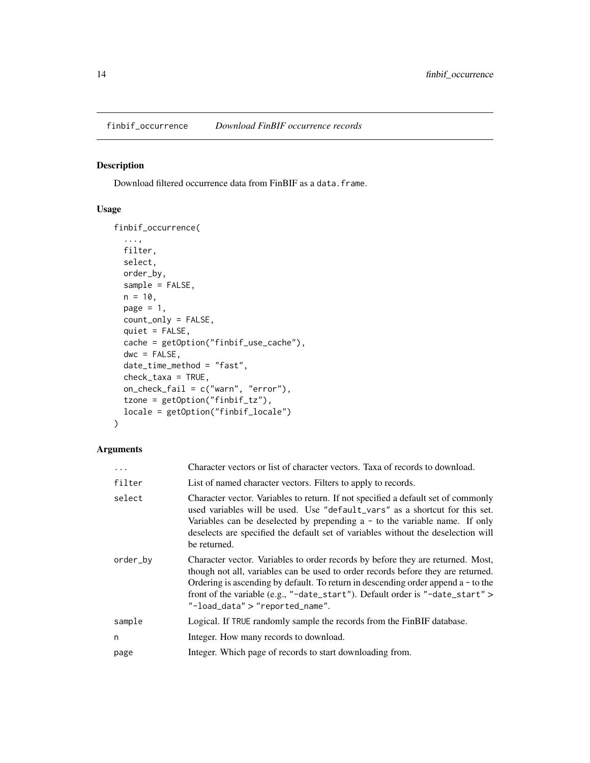<span id="page-13-0"></span>Download filtered occurrence data from FinBIF as a data.frame.

# Usage

```
finbif_occurrence(
  ...,
 filter,
 select,
 order_by,
  sample = FALSE,
 n = 10,
 page = 1,
  count_only = FALSE,
  quiet = FALSE,
  cache = getOption("finbif_use_cache"),
 dwc = FALSE,date_time_method = "fast",
  check_taxa = TRUE,
 on_check_fail = c("warn", "error"),
  tzone = getOption("finbif_tz"),
  locale = getOption("finbif_locale")
)
```
# Arguments

| $\cdots$ | Character vectors or list of character vectors. Taxa of records to download.                                                                                                                                                                                                                                                                                                     |
|----------|----------------------------------------------------------------------------------------------------------------------------------------------------------------------------------------------------------------------------------------------------------------------------------------------------------------------------------------------------------------------------------|
| filter   | List of named character vectors. Filters to apply to records.                                                                                                                                                                                                                                                                                                                    |
| select   | Character vector. Variables to return. If not specified a default set of commonly<br>used variables will be used. Use "default_vars" as a shortcut for this set.<br>Variables can be deselected by prepending $a - to$ to the variable name. If only<br>deselects are specified the default set of variables without the deselection will<br>be returned.                        |
| order_by | Character vector. Variables to order records by before they are returned. Most,<br>though not all, variables can be used to order records before they are returned.<br>Ordering is ascending by default. To return in descending order append $a - t$ to the<br>front of the variable (e.g., "-date_start"). Default order is "-date_start" ><br>"-load_data" > "reported_name". |
| sample   | Logical. If TRUE randomly sample the records from the FinBIF database.                                                                                                                                                                                                                                                                                                           |
| n        | Integer. How many records to download.                                                                                                                                                                                                                                                                                                                                           |
| page     | Integer. Which page of records to start downloading from.                                                                                                                                                                                                                                                                                                                        |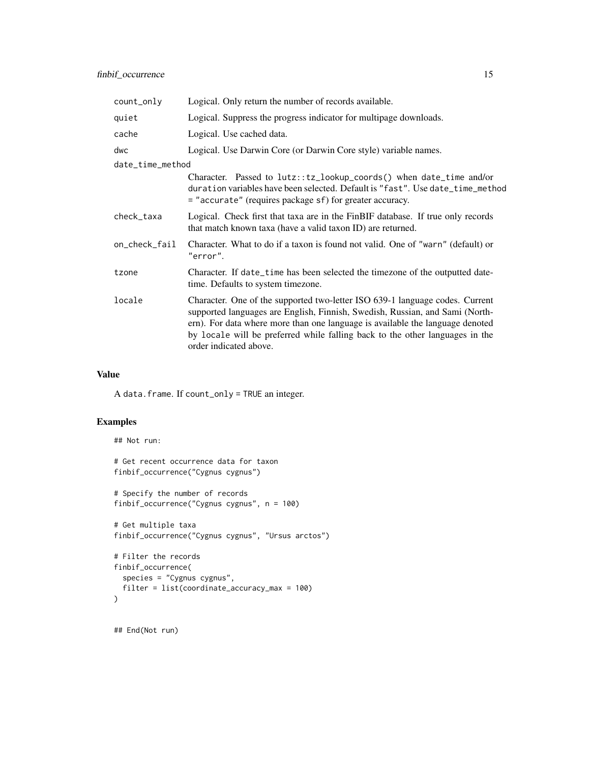| count_only       | Logical. Only return the number of records available.                                                                                                                                                                                                                                                                                                   |
|------------------|---------------------------------------------------------------------------------------------------------------------------------------------------------------------------------------------------------------------------------------------------------------------------------------------------------------------------------------------------------|
| quiet            | Logical. Suppress the progress indicator for multipage downloads.                                                                                                                                                                                                                                                                                       |
| cache            | Logical. Use cached data.                                                                                                                                                                                                                                                                                                                               |
| dwc              | Logical. Use Darwin Core (or Darwin Core style) variable names.                                                                                                                                                                                                                                                                                         |
| date_time_method |                                                                                                                                                                                                                                                                                                                                                         |
|                  | Character. Passed to lutz::tz_lookup_coords() when date_time and/or<br>duration variables have been selected. Default is "fast". Use date_time_method<br>= "accurate" (requires package sf) for greater accuracy.                                                                                                                                       |
| check_taxa       | Logical. Check first that taxa are in the FinBIF database. If true only records<br>that match known taxa (have a valid taxon ID) are returned.                                                                                                                                                                                                          |
| on_check_fail    | Character. What to do if a taxon is found not valid. One of "warn" (default) or<br>"error".                                                                                                                                                                                                                                                             |
| tzone            | Character. If date_time has been selected the timezone of the outputted date-<br>time. Defaults to system timezone.                                                                                                                                                                                                                                     |
| locale           | Character. One of the supported two-letter ISO 639-1 language codes. Current<br>supported languages are English, Finnish, Swedish, Russian, and Sami (North-<br>ern). For data where more than one language is available the language denoted<br>by locale will be preferred while falling back to the other languages in the<br>order indicated above. |

#### Value

A data.frame. If count\_only = TRUE an integer.

# Examples

```
## Not run:
# Get recent occurrence data for taxon
finbif_occurrence("Cygnus cygnus")
# Specify the number of records
finbif_occurrence("Cygnus cygnus", n = 100)
# Get multiple taxa
finbif_occurrence("Cygnus cygnus", "Ursus arctos")
# Filter the records
finbif_occurrence(
  species = "Cygnus cygnus",
  filter = list(coordinate_accuracy_max = 100)
)
```
## End(Not run)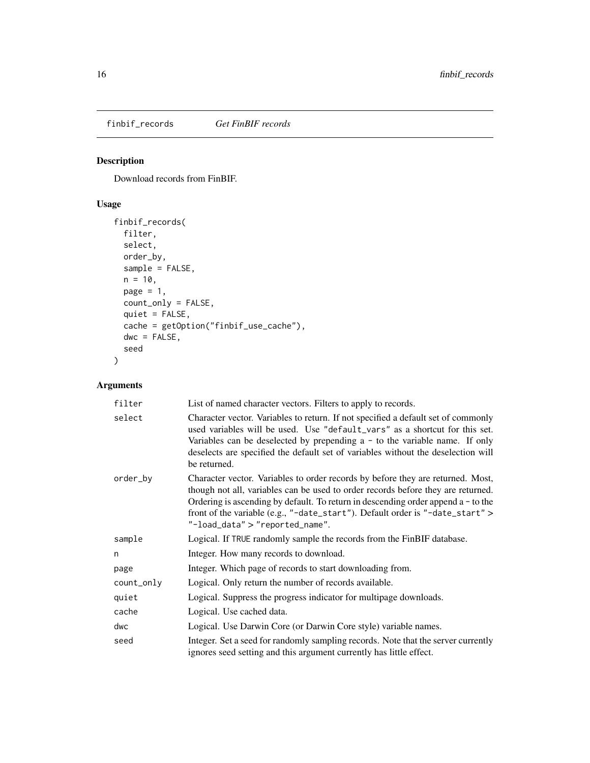<span id="page-15-0"></span>finbif\_records *Get FinBIF records*

# Description

Download records from FinBIF.

# Usage

```
finbif_records(
  filter,
 select,
 order_by,
 sample = FALSE,
 n = 10,page = 1,
 count_only = FALSE,
 quiet = FALSE,
 cache = getOption("finbif_use_cache"),
 dwc = FALSE,seed
)
```
# Arguments

| filter     | List of named character vectors. Filters to apply to records.                                                                                                                                                                                                                                                                                                                  |
|------------|--------------------------------------------------------------------------------------------------------------------------------------------------------------------------------------------------------------------------------------------------------------------------------------------------------------------------------------------------------------------------------|
| select     | Character vector. Variables to return. If not specified a default set of commonly<br>used variables will be used. Use "default_vars" as a shortcut for this set.<br>Variables can be deselected by prepending $a - to$ to the variable name. If only<br>deselects are specified the default set of variables without the deselection will<br>be returned.                      |
| order_by   | Character vector. Variables to order records by before they are returned. Most,<br>though not all, variables can be used to order records before they are returned.<br>Ordering is ascending by default. To return in descending order append $a - to the$<br>front of the variable (e.g., "-date_start"). Default order is "-date_start" ><br>"-load_data" > "reported_name". |
| sample     | Logical. If TRUE randomly sample the records from the FinBIF database.                                                                                                                                                                                                                                                                                                         |
| n          | Integer. How many records to download.                                                                                                                                                                                                                                                                                                                                         |
| page       | Integer. Which page of records to start downloading from.                                                                                                                                                                                                                                                                                                                      |
| count_only | Logical. Only return the number of records available.                                                                                                                                                                                                                                                                                                                          |
| quiet      | Logical. Suppress the progress indicator for multipage downloads.                                                                                                                                                                                                                                                                                                              |
| cache      | Logical. Use cached data.                                                                                                                                                                                                                                                                                                                                                      |
| dwc        | Logical. Use Darwin Core (or Darwin Core style) variable names.                                                                                                                                                                                                                                                                                                                |
| seed       | Integer. Set a seed for randomly sampling records. Note that the server currently<br>ignores seed setting and this argument currently has little effect.                                                                                                                                                                                                                       |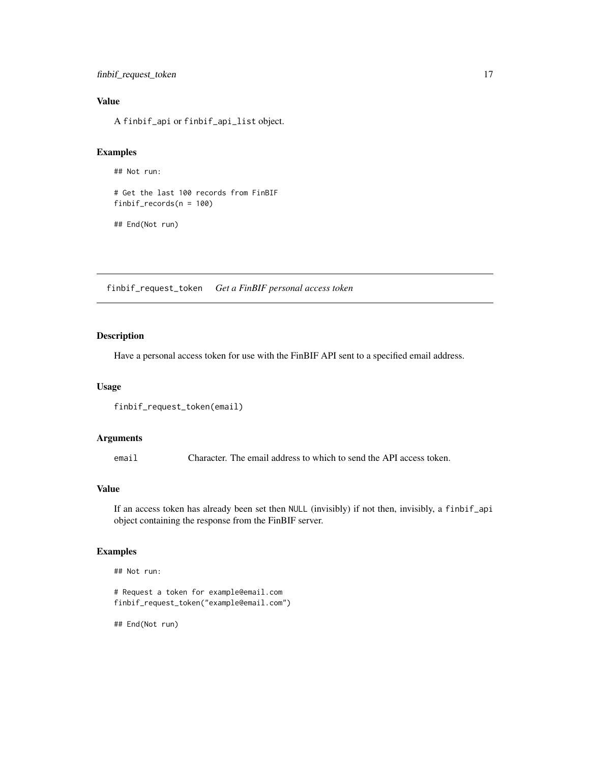# <span id="page-16-0"></span>Value

A finbif\_api or finbif\_api\_list object.

#### Examples

```
## Not run:
```

```
# Get the last 100 records from FinBIF
finbif_records(n = 100)
```

```
## End(Not run)
```
finbif\_request\_token *Get a FinBIF personal access token*

# Description

Have a personal access token for use with the FinBIF API sent to a specified email address.

#### Usage

```
finbif_request_token(email)
```
#### Arguments

email Character. The email address to which to send the API access token.

#### Value

If an access token has already been set then NULL (invisibly) if not then, invisibly, a finbif\_api object containing the response from the FinBIF server.

#### Examples

```
# Request a token for example@email.com
finbif_request_token("example@email.com")
```
## End(Not run)

## Not run: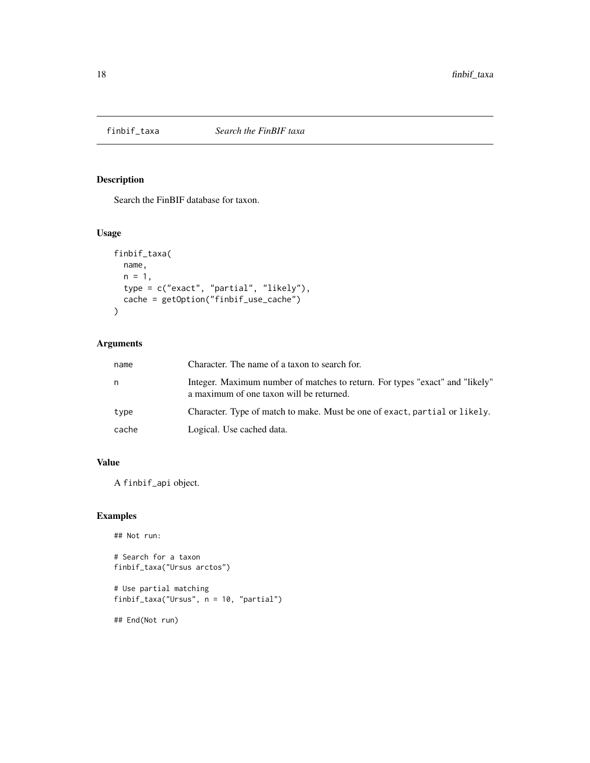<span id="page-17-1"></span><span id="page-17-0"></span>

Search the FinBIF database for taxon.

# Usage

```
finbif_taxa(
 name,
 n = 1,
 type = c("exact", "partial", "likely"),
 cache = getOption("finbif_use_cache")
)
```
# Arguments

| name  | Character. The name of a taxon to search for.                                                                            |
|-------|--------------------------------------------------------------------------------------------------------------------------|
| n     | Integer. Maximum number of matches to return. For types "exact" and "likely"<br>a maximum of one taxon will be returned. |
| type  | Character. Type of match to make. Must be one of exact, partial or likely.                                               |
| cache | Logical. Use cached data.                                                                                                |

# Value

A finbif\_api object.

# Examples

```
## Not run:
# Search for a taxon
finbif_taxa("Ursus arctos")
# Use partial matching
```
finbif\_taxa("Ursus", n = 10, "partial")

## End(Not run)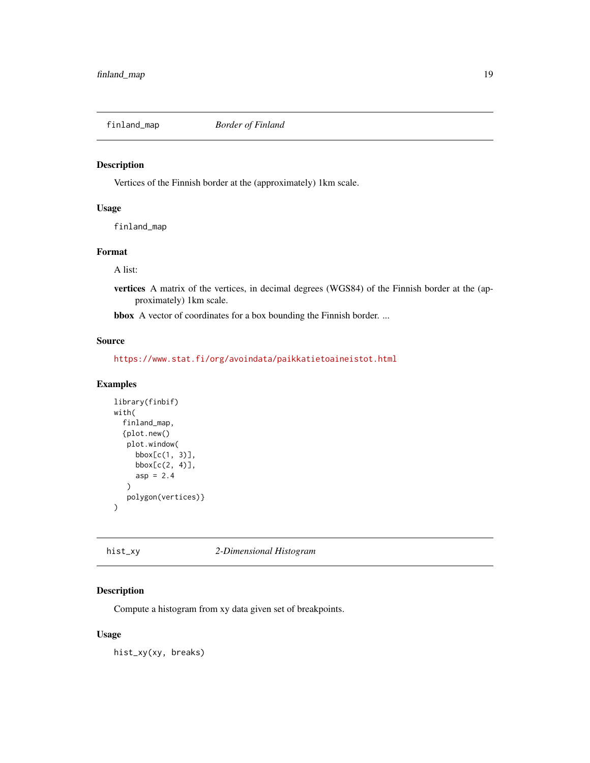<span id="page-18-0"></span>

Vertices of the Finnish border at the (approximately) 1km scale.

#### Usage

finland\_map

# Format

A list:

vertices A matrix of the vertices, in decimal degrees (WGS84) of the Finnish border at the (approximately) 1km scale.

bbox A vector of coordinates for a box bounding the Finnish border. ...

#### Source

<https://www.stat.fi/org/avoindata/paikkatietoaineistot.html>

#### Examples

```
library(finbif)
with(
 finland_map,
 {plot.new()
  plot.window(
    bbox[c(1, 3)],
     bbox[c(2, 4)],
     asp = 2.4)
  polygon(vertices)}
)
```
hist\_xy *2-Dimensional Histogram*

# Description

Compute a histogram from xy data given set of breakpoints.

#### Usage

hist\_xy(xy, breaks)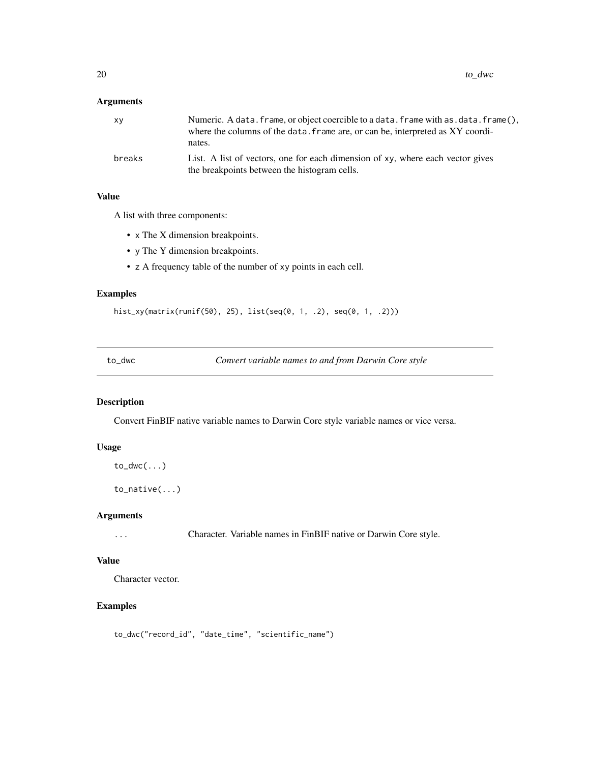# <span id="page-19-0"></span>Arguments

| XV     | Numeric. A data. frame, or object coercible to a data. frame with as. data. frame(),<br>where the columns of the data. frame are, or can be, interpreted as XY coordi-<br>nates. |
|--------|----------------------------------------------------------------------------------------------------------------------------------------------------------------------------------|
| breaks | List. A list of vectors, one for each dimension of xy, where each vector gives<br>the breakpoints between the histogram cells.                                                   |

# Value

A list with three components:

- x The X dimension breakpoints.
- y The Y dimension breakpoints.
- z A frequency table of the number of xy points in each cell.

# Examples

```
hist_xy(matrix(runif(50), 25), list(seq(0, 1, .2), seq(0, 1, .2)))
```
to\_dwc *Convert variable names to and from Darwin Core style*

# Description

Convert FinBIF native variable names to Darwin Core style variable names or vice versa.

# Usage

```
to_dwc(\ldots)
```
to\_native(...)

#### Arguments

... Character. Variable names in FinBIF native or Darwin Core style.

# Value

Character vector.

# Examples

```
to_dwc("record_id", "date_time", "scientific_name")
```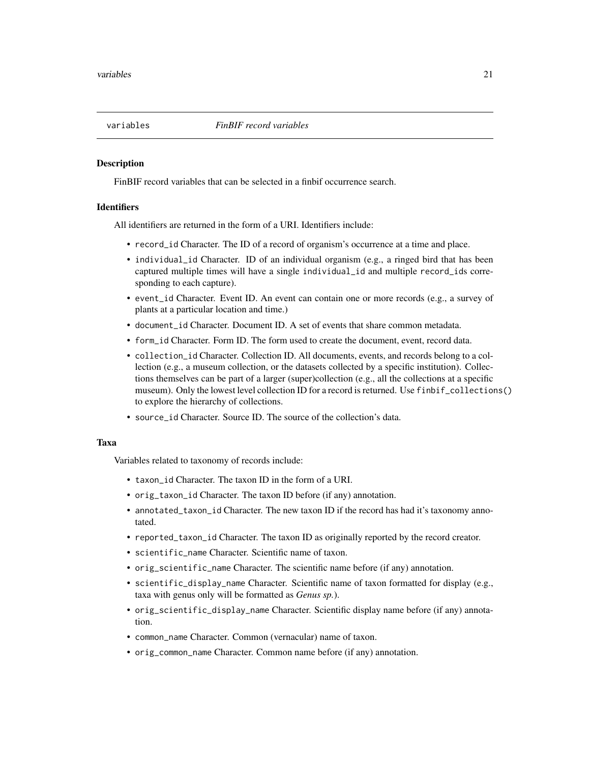<span id="page-20-0"></span>

FinBIF record variables that can be selected in a finbif occurrence search.

#### **Identifiers**

All identifiers are returned in the form of a URI. Identifiers include:

- record\_id Character. The ID of a record of organism's occurrence at a time and place.
- individual\_id Character. ID of an individual organism (e.g., a ringed bird that has been captured multiple times will have a single individual\_id and multiple record\_ids corresponding to each capture).
- event\_id Character. Event ID. An event can contain one or more records (e.g., a survey of plants at a particular location and time.)
- document\_id Character. Document ID. A set of events that share common metadata.
- form\_id Character. Form ID. The form used to create the document, event, record data.
- collection\_id Character. Collection ID. All documents, events, and records belong to a collection (e.g., a museum collection, or the datasets collected by a specific institution). Collections themselves can be part of a larger (super)collection (e.g., all the collections at a specific museum). Only the lowest level collection ID for a record is returned. Use finbif\_collections() to explore the hierarchy of collections.
- source\_id Character. Source ID. The source of the collection's data.

#### Taxa

Variables related to taxonomy of records include:

- taxon\_id Character. The taxon ID in the form of a URI.
- orig\_taxon\_id Character. The taxon ID before (if any) annotation.
- annotated\_taxon\_id Character. The new taxon ID if the record has had it's taxonomy annotated.
- reported\_taxon\_id Character. The taxon ID as originally reported by the record creator.
- scientific\_name Character. Scientific name of taxon.
- orig\_scientific\_name Character. The scientific name before (if any) annotation.
- scientific\_display\_name Character. Scientific name of taxon formatted for display (e.g., taxa with genus only will be formatted as *Genus sp.*).
- orig\_scientific\_display\_name Character. Scientific display name before (if any) annotation.
- common\_name Character. Common (vernacular) name of taxon.
- orig\_common\_name Character. Common name before (if any) annotation.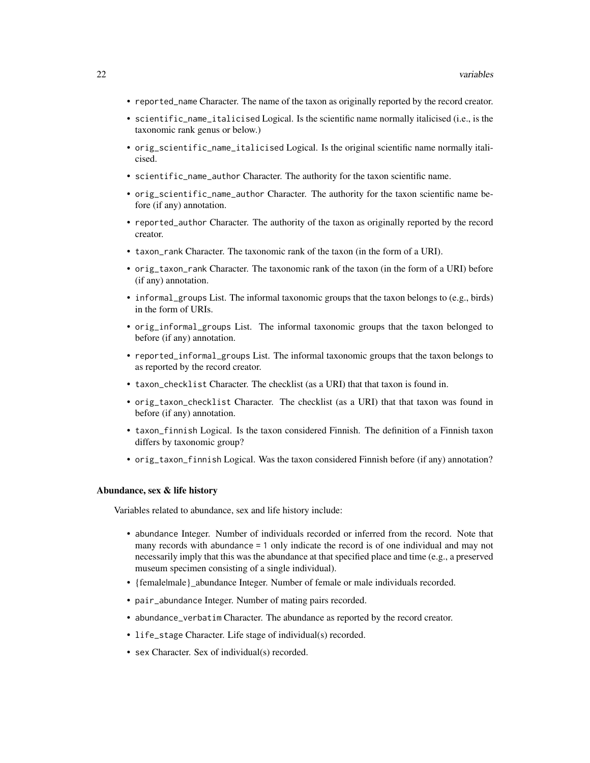- reported\_name Character. The name of the taxon as originally reported by the record creator.
- scientific\_name\_italicised Logical. Is the scientific name normally italicised (i.e., is the taxonomic rank genus or below.)
- orig\_scientific\_name\_italicised Logical. Is the original scientific name normally italicised.
- scientific\_name\_author Character. The authority for the taxon scientific name.
- orig\_scientific\_name\_author Character. The authority for the taxon scientific name before (if any) annotation.
- reported\_author Character. The authority of the taxon as originally reported by the record creator.
- taxon\_rank Character. The taxonomic rank of the taxon (in the form of a URI).
- orig\_taxon\_rank Character. The taxonomic rank of the taxon (in the form of a URI) before (if any) annotation.
- informal\_groups List. The informal taxonomic groups that the taxon belongs to (e.g., birds) in the form of URIs.
- orig\_informal\_groups List. The informal taxonomic groups that the taxon belonged to before (if any) annotation.
- reported\_informal\_groups List. The informal taxonomic groups that the taxon belongs to as reported by the record creator.
- taxon\_checklist Character. The checklist (as a URI) that that taxon is found in.
- orig\_taxon\_checklist Character. The checklist (as a URI) that that taxon was found in before (if any) annotation.
- taxon\_finnish Logical. Is the taxon considered Finnish. The definition of a Finnish taxon differs by taxonomic group?
- orig\_taxon\_finnish Logical. Was the taxon considered Finnish before (if any) annotation?

#### Abundance, sex & life history

Variables related to abundance, sex and life history include:

- abundance Integer. Number of individuals recorded or inferred from the record. Note that many records with abundance = 1 only indicate the record is of one individual and may not necessarily imply that this was the abundance at that specified place and time (e.g., a preserved museum specimen consisting of a single individual).
- {female|male}\_abundance Integer. Number of female or male individuals recorded.
- pair\_abundance Integer. Number of mating pairs recorded.
- abundance\_verbatim Character. The abundance as reported by the record creator.
- life\_stage Character. Life stage of individual(s) recorded.
- sex Character. Sex of individual(s) recorded.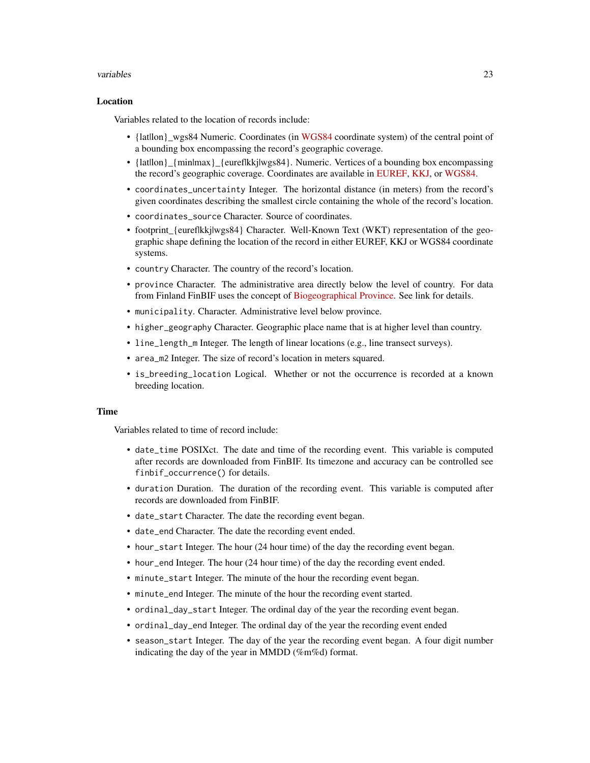#### variables 23

#### Location

Variables related to the location of records include:

- {latllon} wgs84 Numeric. Coordinates (in [WGS84](https://spatialreference.org/ref/epsg/wgs-84/) coordinate system) of the central point of a bounding box encompassing the record's geographic coverage.
- {latllon} {min|max} {euref|kkj|wgs84}. Numeric. Vertices of a bounding box encompassing the record's geographic coverage. Coordinates are available in [EUREF,](https://spatialreference.org/ref/epsg/etrs89-etrs-tm35fin/) [KKJ,](https://spatialreference.org/ref/epsg/2393/) or [WGS84.](https://spatialreference.org/ref/epsg/wgs-84/)
- coordinates\_uncertainty Integer. The horizontal distance (in meters) from the record's given coordinates describing the smallest circle containing the whole of the record's location.
- coordinates\_source Character. Source of coordinates.
- footprint {euref|kkj|wgs84} Character. Well-Known Text (WKT) representation of the geographic shape defining the location of the record in either EUREF, KKJ or WGS84 coordinate systems.
- country Character. The country of the record's location.
- province Character. The administrative area directly below the level of country. For data from Finland FinBIF uses the concept of [Biogeographical Province.](https://laji.fi/en/theme/emk) See link for details.
- municipality. Character. Administrative level below province.
- higher\_geography Character. Geographic place name that is at higher level than country.
- line\_length\_m Integer. The length of linear locations (e.g., line transect surveys).
- area\_m2 Integer. The size of record's location in meters squared.
- is\_breeding\_location Logical. Whether or not the occurrence is recorded at a known breeding location.

#### Time

Variables related to time of record include:

- date\_time POSIXct. The date and time of the recording event. This variable is computed after records are downloaded from FinBIF. Its timezone and accuracy can be controlled see finbif\_occurrence() for details.
- duration Duration. The duration of the recording event. This variable is computed after records are downloaded from FinBIF.
- date\_start Character. The date the recording event began.
- date\_end Character. The date the recording event ended.
- hour\_start Integer. The hour (24 hour time) of the day the recording event began.
- hour\_end Integer. The hour (24 hour time) of the day the recording event ended.
- minute\_start Integer. The minute of the hour the recording event began.
- minute\_end Integer. The minute of the hour the recording event started.
- ordinal\_day\_start Integer. The ordinal day of the year the recording event began.
- ordinal\_day\_end Integer. The ordinal day of the year the recording event ended
- season\_start Integer. The day of the year the recording event began. A four digit number indicating the day of the year in MMDD (%m%d) format.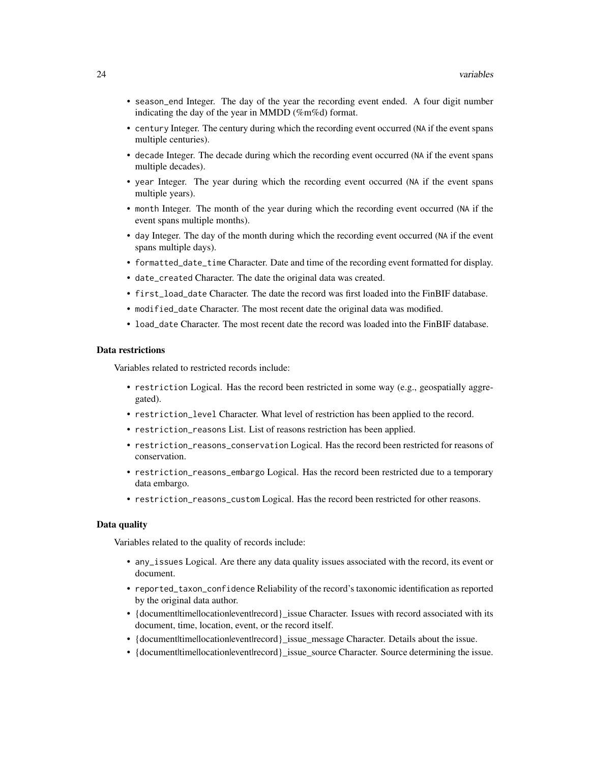- season\_end Integer. The day of the year the recording event ended. A four digit number indicating the day of the year in MMDD (%m%d) format.
- century Integer. The century during which the recording event occurred (NA if the event spans multiple centuries).
- decade Integer. The decade during which the recording event occurred (NA if the event spans multiple decades).
- year Integer. The year during which the recording event occurred (NA if the event spans multiple years).
- month Integer. The month of the year during which the recording event occurred (NA if the event spans multiple months).
- day Integer. The day of the month during which the recording event occurred (NA if the event spans multiple days).
- formatted\_date\_time Character. Date and time of the recording event formatted for display.
- date\_created Character. The date the original data was created.
- first\_load\_date Character. The date the record was first loaded into the FinBIF database.
- modified\_date Character. The most recent date the original data was modified.
- load\_date Character. The most recent date the record was loaded into the FinBIF database.

#### Data restrictions

Variables related to restricted records include:

- restriction Logical. Has the record been restricted in some way (e.g., geospatially aggregated).
- restriction\_level Character. What level of restriction has been applied to the record.
- restriction\_reasons List. List of reasons restriction has been applied.
- restriction\_reasons\_conservation Logical. Has the record been restricted for reasons of conservation.
- restriction\_reasons\_embargo Logical. Has the record been restricted due to a temporary data embargo.
- restriction\_reasons\_custom Logical. Has the record been restricted for other reasons.

#### Data quality

Variables related to the quality of records include:

- any\_issues Logical. Are there any data quality issues associated with the record, its event or document.
- reported\_taxon\_confidence Reliability of the record's taxonomic identification as reported by the original data author.
- {document|time|location|event|record}\_issue Character. Issues with record associated with its document, time, location, event, or the record itself.
- {document|time|location|event|record} issue\_message Character. Details about the issue.
- {document|time|location|event|record}\_issue\_source Character. Source determining the issue.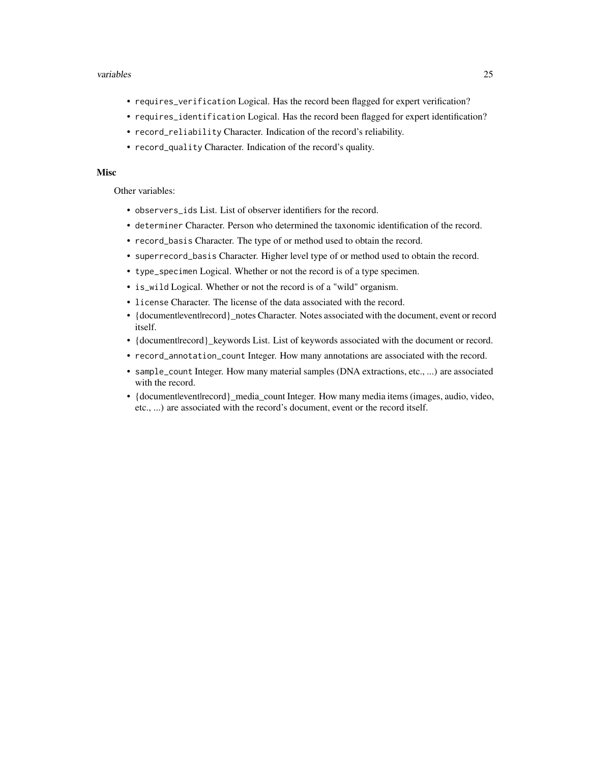#### variables 25

- requires\_verification Logical. Has the record been flagged for expert verification?
- requires\_identification Logical. Has the record been flagged for expert identification?
- record\_reliability Character. Indication of the record's reliability.
- record\_quality Character. Indication of the record's quality.

#### Misc

Other variables:

- observers\_ids List. List of observer identifiers for the record.
- determiner Character. Person who determined the taxonomic identification of the record.
- record\_basis Character. The type of or method used to obtain the record.
- superrecord\_basis Character. Higher level type of or method used to obtain the record.
- type\_specimen Logical. Whether or not the record is of a type specimen.
- is\_wild Logical. Whether or not the record is of a "wild" organism.
- license Character. The license of the data associated with the record.
- {document|event|record} notes Character. Notes associated with the document, event or record itself.
- {document|record}\_keywords List. List of keywords associated with the document or record.
- record\_annotation\_count Integer. How many annotations are associated with the record.
- sample\_count Integer. How many material samples (DNA extractions, etc., ...) are associated with the record.
- {document event here ord } media\_count Integer. How many media items (images, audio, video, etc., ...) are associated with the record's document, event or the record itself.